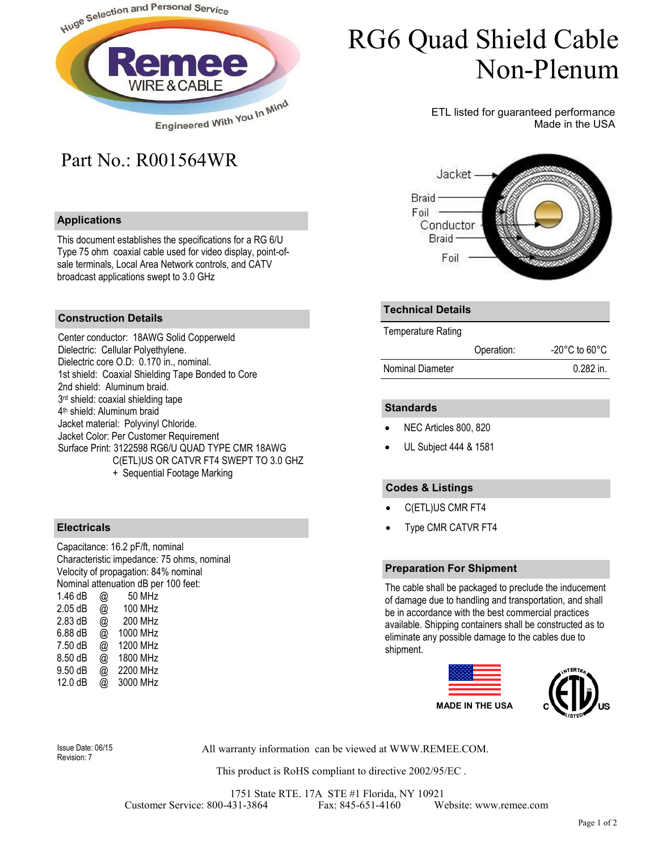

# Part No.: R001564WR

## **Applications**

This document establishes the specifications for a RG 6/U Type 75 ohm coaxial cable used for video display, point-ofsale terminals, Local Area Network controls, and CATV broadcast applications swept to 3.0 GHz

# **Construction Details**

Center conductor: 18AWG Solid Copperweld Dielectric: Cellular Polyethylene. Dielectric core O.D: 0.170 in., nominal. 1st shield: Coaxial Shielding Tape Bonded to Core 2nd shield: Aluminum braid. 3 rd shield: coaxial shielding tape 4 th shield: Aluminum braid Jacket material: Polyvinyl Chloride. Jacket Color: Per Customer Requirement Surface Print: 3122598 RG6/U QUAD TYPE CMR 18AWG C(ETL)US OR CATVR FT4 SWEPT TO 3.0 GHZ + Sequential Footage Marking

#### **Electricals**

Capacitance: 16.2 pF/ft, nominal Characteristic impedance: 75 ohms, nominal Velocity of propagation: 84% nominal Nominal attenuation dB per 100 feet: 1.46 dB @ 50 MHz

| $2.05$ dB | @ | <b>100 MHz</b> |
|-----------|---|----------------|
| 2.83 dB   | @ | 200 MHz        |
| 6.88 dB   | @ | 1000 MHz       |
| 7.50 dB   | @ | 1200 MHz       |
| 8.50 dB   | @ | 1800 MHz       |
| 9.50 dB   | @ | 2200 MHz       |
| 12.0 dB   | @ | 3000 MHz       |

# RG6 Quad Shield Cable Non-Plenum

ETL listed for guaranteed performance Made in the USA



## **Technical Details**

Temperature Rating

|                  | Operation: | $-20^{\circ}$ C to 60 $^{\circ}$ C |
|------------------|------------|------------------------------------|
| Nominal Diameter |            | $0.282$ in.                        |

#### **Standards**

- NEC Articles 800, 820
- UL Subject 444 & 1581

### **Codes & Listings**

- C(ETL)US CMR FT4
- Type CMR CATVR FT4

## **Preparation For Shipment**

The cable shall be packaged to preclude the inducement of damage due to handling and transportation, and shall be in accordance with the best commercial practices available. Shipping containers shall be constructed as to eliminate any possible damage to the cables due to shipment.





Revision: 7

Issue Date: 06/15 All warranty information can be viewed at WWW.REMEE.COM.

This product is RoHS compliant to directive 2002/95/EC .

1751 State RTE. 17A STE #1 Florida, NY 10921 Customer Service: 800-431-3864 Fax: 845-651-4160 Website: www.remee.com